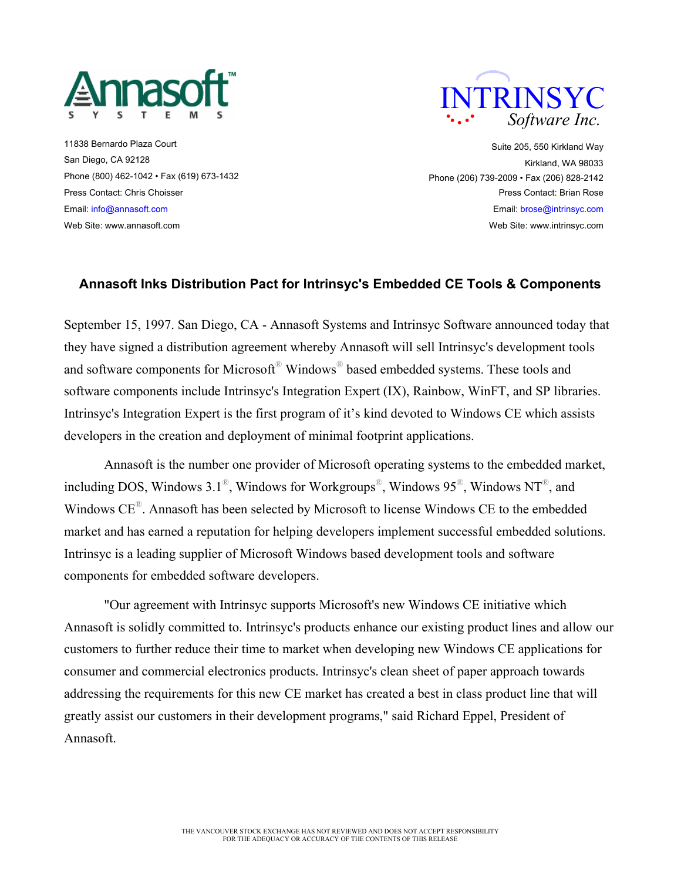

11838 Bernardo Plaza Court San Diego, CA 92128 Phone (800) 462-1042 • Fax (619) 673-1432 Press Contact: Chris Choisser Email: info@annasoft.com Web Site: www.annasoft.com



Suite 205, 550 Kirkland Way Kirkland, WA 98033 Phone (206) 739-2009 • Fax (206) 828-2142 Press Contact: Brian Rose Email: brose@intrinsyc.com Web Site: www.intrinsyc.com

## **Annasoft Inks Distribution Pact for Intrinsyc's Embedded CE Tools & Components**

September 15, 1997. San Diego, CA - Annasoft Systems and Intrinsyc Software announced today that they have signed a distribution agreement whereby Annasoft will sell Intrinsyc's development tools and software components for Microsoft® Windows® based embedded systems. These tools and software components include Intrinsyc's Integration Expert (IX), Rainbow, WinFT, and SP libraries. Intrinsyc's Integration Expert is the first program of it's kind devoted to Windows CE which assists developers in the creation and deployment of minimal footprint applications.

 Annasoft is the number one provider of Microsoft operating systems to the embedded market, including DOS, Windows 3.1<sup>®</sup>, Windows for Workgroups<sup>®</sup>, Windows 95<sup>®</sup>, Windows NT<sup>®</sup>, and Windows CE®. Annasoft has been selected by Microsoft to license Windows CE to the embedded market and has earned a reputation for helping developers implement successful embedded solutions. Intrinsyc is a leading supplier of Microsoft Windows based development tools and software components for embedded software developers.

 "Our agreement with Intrinsyc supports Microsoft's new Windows CE initiative which Annasoft is solidly committed to. Intrinsyc's products enhance our existing product lines and allow our customers to further reduce their time to market when developing new Windows CE applications for consumer and commercial electronics products. Intrinsyc's clean sheet of paper approach towards addressing the requirements for this new CE market has created a best in class product line that will greatly assist our customers in their development programs," said Richard Eppel, President of Annasoft.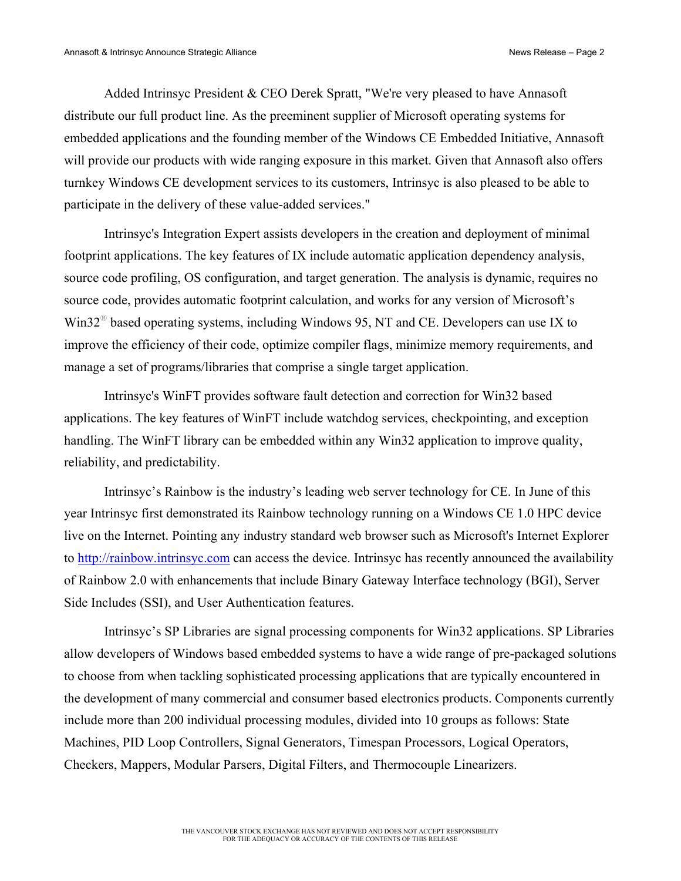Added Intrinsyc President & CEO Derek Spratt, "We're very pleased to have Annasoft distribute our full product line. As the preeminent supplier of Microsoft operating systems for embedded applications and the founding member of the Windows CE Embedded Initiative, Annasoft will provide our products with wide ranging exposure in this market. Given that Annasoft also offers turnkey Windows CE development services to its customers, Intrinsyc is also pleased to be able to participate in the delivery of these value-added services."

Intrinsyc's Integration Expert assists developers in the creation and deployment of minimal footprint applications. The key features of IX include automatic application dependency analysis, source code profiling, OS configuration, and target generation. The analysis is dynamic, requires no source code, provides automatic footprint calculation, and works for any version of Microsoft's  $Win32<sup>®</sup>$  based operating systems, including Windows 95, NT and CE. Developers can use IX to improve the efficiency of their code, optimize compiler flags, minimize memory requirements, and manage a set of programs/libraries that comprise a single target application.

Intrinsyc's WinFT provides software fault detection and correction for Win32 based applications. The key features of WinFT include watchdog services, checkpointing, and exception handling. The WinFT library can be embedded within any Win32 application to improve quality, reliability, and predictability.

Intrinsyc's Rainbow is the industry's leading web server technology for CE. In June of this year Intrinsyc first demonstrated its Rainbow technology running on a Windows CE 1.0 HPC device live on the Internet. Pointing any industry standard web browser such as Microsoft's Internet Explorer to http://rainbow.intrinsyc.com can access the device. Intrinsyc has recently announced the availability of Rainbow 2.0 with enhancements that include Binary Gateway Interface technology (BGI), Server Side Includes (SSI), and User Authentication features.

 Intrinsyc's SP Libraries are signal processing components for Win32 applications. SP Libraries allow developers of Windows based embedded systems to have a wide range of pre-packaged solutions to choose from when tackling sophisticated processing applications that are typically encountered in the development of many commercial and consumer based electronics products. Components currently include more than 200 individual processing modules, divided into 10 groups as follows: State Machines, PID Loop Controllers, Signal Generators, Timespan Processors, Logical Operators, Checkers, Mappers, Modular Parsers, Digital Filters, and Thermocouple Linearizers.